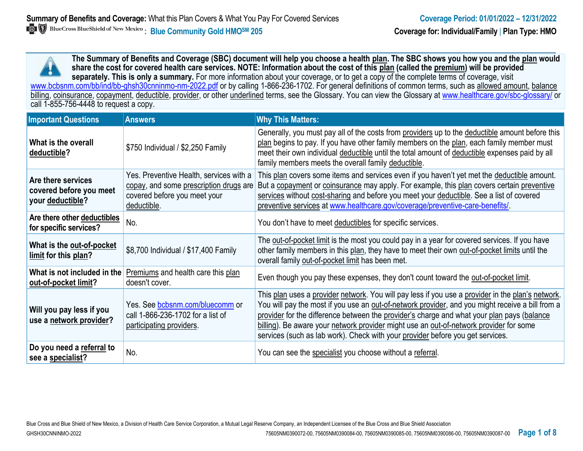**The Summary of Benefits and Coverage (SBC) document will help you choose a health plan. The SBC shows you how you and the plan would share the cost for covered health care services. NOTE: Information about the cost of this plan (called the premium) will be provided**  separately. This is only a summary. For more information about your coverage, or to get a copy of the complete terms of coverage, visit www.bcbsnm.com/bb/ind/bb-ghsh30cnninmo-nm-2022.pdf or by calling 1-866-236-1702. For general definitions of common terms, such as allowed amount, balance billing, coinsurance, copayment, deductible, provider, or other underlined terms, see the Glossary. You can view the Glossary a[t www.healthcare.gov/sbc-glossary/](http://www.healthcare.gov/sbc-glossary/) or call 1-855-756-4448 to request a copy.

| <b>Important Questions</b>                                        | <b>Answers</b>                                                                                                                   | <b>Why This Matters:</b>                                                                                                                                                                                                                                                                                                                                                                                                                                                        |
|-------------------------------------------------------------------|----------------------------------------------------------------------------------------------------------------------------------|---------------------------------------------------------------------------------------------------------------------------------------------------------------------------------------------------------------------------------------------------------------------------------------------------------------------------------------------------------------------------------------------------------------------------------------------------------------------------------|
| What is the overall<br>deductible?                                | \$750 Individual / \$2,250 Family                                                                                                | Generally, you must pay all of the costs from providers up to the deductible amount before this<br>plan begins to pay. If you have other family members on the plan, each family member must<br>meet their own individual deductible until the total amount of deductible expenses paid by all<br>family members meets the overall family deductible.                                                                                                                           |
| Are there services<br>covered before you meet<br>your deductible? | Yes. Preventive Health, services with a<br>copay, and some prescription drugs are<br>covered before you meet your<br>deductible. | This plan covers some items and services even if you haven't yet met the deductible amount.<br>But a copayment or coinsurance may apply. For example, this plan covers certain preventive<br>services without cost-sharing and before you meet your deductible. See a list of covered<br>preventive services at www.healthcare.gov/coverage/preventive-care-benefits/.                                                                                                          |
| Are there other deductibles<br>for specific services?             | No.                                                                                                                              | You don't have to meet deductibles for specific services.                                                                                                                                                                                                                                                                                                                                                                                                                       |
| What is the out-of-pocket<br>limit for this plan?                 | \$8,700 Individual / \$17,400 Family                                                                                             | The out-of-pocket limit is the most you could pay in a year for covered services. If you have<br>other family members in this plan, they have to meet their own out-of-pocket limits until the<br>overall family out-of-pocket limit has been met.                                                                                                                                                                                                                              |
| What is not included in the<br>out-of-pocket limit?               | Premiums and health care this plan<br>doesn't cover.                                                                             | Even though you pay these expenses, they don't count toward the out-of-pocket limit.                                                                                                                                                                                                                                                                                                                                                                                            |
| Will you pay less if you<br>use a network provider?               | Yes. See bcbsnm.com/bluecomm or<br>call 1-866-236-1702 for a list of<br>participating providers.                                 | This plan uses a provider network. You will pay less if you use a provider in the plan's network.<br>You will pay the most if you use an out-of-network provider, and you might receive a bill from a<br>provider for the difference between the provider's charge and what your plan pays (balance<br>billing). Be aware your network provider might use an out-of-network provider for some<br>services (such as lab work). Check with your provider before you get services. |
| Do you need a referral to<br>see a specialist?                    | No.                                                                                                                              | You can see the specialist you choose without a referral.                                                                                                                                                                                                                                                                                                                                                                                                                       |

Blue Cross and Blue Shield of New Mexico, a Division of Health Care Service Corporation, a Mutual Legal Reserve Company, an Independent Licensee of the Blue Cross and Blue Shield Association GHSH30CNNINMO-2022 75605NM0390072-00, 75605NM0390084-00, 75605NM0390085-00, 75605NM0390086-00, 75605NM0390087-00 **Page 1 of 8**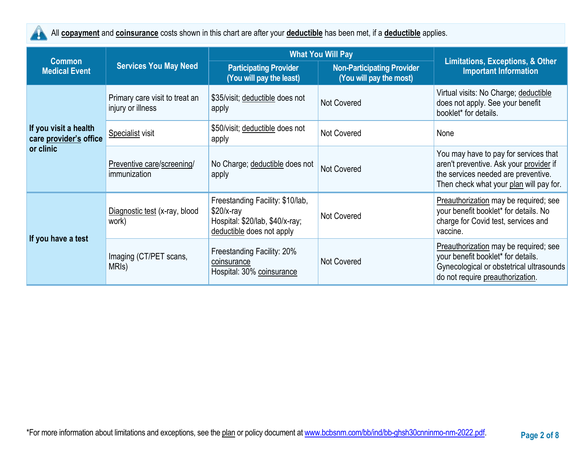

All **copayment** and **coinsurance** costs shown in this chart are after your **deductible** has been met, if a **deductible** applies.

| <b>Common</b>                                                | <b>Services You May Need</b>                        | <b>What You Will Pay</b>                                                                                        |                                                              | <b>Limitations, Exceptions, &amp; Other</b>                                                                                                                        |
|--------------------------------------------------------------|-----------------------------------------------------|-----------------------------------------------------------------------------------------------------------------|--------------------------------------------------------------|--------------------------------------------------------------------------------------------------------------------------------------------------------------------|
| <b>Medical Event</b>                                         |                                                     | <b>Participating Provider</b><br>(You will pay the least)                                                       | <b>Non-Participating Provider</b><br>(You will pay the most) | <b>Important Information</b>                                                                                                                                       |
|                                                              | Primary care visit to treat an<br>injury or illness | \$35/visit; deductible does not<br>apply                                                                        | Not Covered                                                  | Virtual visits: No Charge; deductible<br>does not apply. See your benefit<br>booklet* for details.                                                                 |
| If you visit a health<br>care provider's office<br>or clinic | <b>Specialist visit</b>                             | \$50/visit; deductible does not<br>apply                                                                        | <b>Not Covered</b>                                           | None                                                                                                                                                               |
|                                                              | Preventive care/screening/<br>immunization          | No Charge; deductible does not<br>apply                                                                         | <b>Not Covered</b>                                           | You may have to pay for services that<br>aren't preventive. Ask your provider if<br>the services needed are preventive.<br>Then check what your plan will pay for. |
| If you have a test                                           | Diagnostic test (x-ray, blood<br>work)              | Freestanding Facility: \$10/lab,<br>$$20/x-ray$<br>Hospital: \$20/lab, \$40/x-ray;<br>deductible does not apply | <b>Not Covered</b>                                           | Preauthorization may be required; see<br>your benefit booklet* for details. No<br>charge for Covid test, services and<br>vaccine.                                  |
|                                                              | Imaging (CT/PET scans,<br>MRI <sub>s</sub> )        | Freestanding Facility: 20%<br>coinsurance<br>Hospital: 30% coinsurance                                          | <b>Not Covered</b>                                           | Preauthorization may be required; see<br>your benefit booklet* for details.<br>Gynecological or obstetrical ultrasounds<br>do not require preauthorization.        |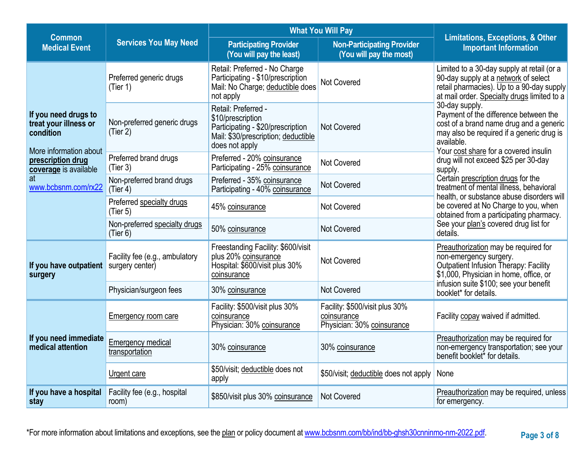| <b>Common</b>                                                                        |                                                   | <b>What You Will Pay</b>                                                                                                               | <b>Limitations, Exceptions, &amp; Other</b>                                 |                                                                                                                                                                                                        |
|--------------------------------------------------------------------------------------|---------------------------------------------------|----------------------------------------------------------------------------------------------------------------------------------------|-----------------------------------------------------------------------------|--------------------------------------------------------------------------------------------------------------------------------------------------------------------------------------------------------|
| <b>Services You May Need</b><br><b>Medical Event</b>                                 |                                                   | <b>Participating Provider</b><br>(You will pay the least)                                                                              | <b>Non-Participating Provider</b><br>(You will pay the most)                | <b>Important Information</b>                                                                                                                                                                           |
|                                                                                      | Preferred generic drugs<br>(Tier 1)               | Retail: Preferred - No Charge<br>Participating - \$10/prescription<br>Mail: No Charge; deductible does<br>not apply                    | Not Covered                                                                 | Limited to a 30-day supply at retail (or a<br>90-day supply at a network of select<br>retail pharmacies). Up to a 90-day supply<br>at mail order. Specialty drugs limited to a                         |
| If you need drugs to<br>treat your illness or<br>condition<br>More information about | Non-preferred generic drugs<br>(Tier 2)           | Retail: Preferred -<br>\$10/prescription<br>Participating - \$20/prescription<br>Mail: \$30/prescription; deductible<br>does not apply | Not Covered                                                                 | 30-day supply.<br>Payment of the difference between the<br>cost of a brand name drug and a generic<br>may also be required if a generic drug is<br>available.<br>Your cost share for a covered insulin |
| prescription drug<br>coverage is available                                           | Preferred brand drugs<br>(Tier 3)                 | Preferred - 20% coinsurance<br>Participating - 25% coinsurance                                                                         | Not Covered                                                                 | drug will not exceed \$25 per 30-day<br>supply.                                                                                                                                                        |
| at<br>www.bcbsnm.com/rx22                                                            | Non-preferred brand drugs<br>(Tier 4)             | Preferred - 35% coinsurance<br>Participating - 40% coinsurance                                                                         | Not Covered                                                                 | Certain prescription drugs for the<br>treatment of mental illness, behavioral<br>health, or substance abuse disorders will                                                                             |
|                                                                                      | Preferred specialty drugs<br>(Tier 5)             | 45% coinsurance                                                                                                                        | Not Covered                                                                 | be covered at No Charge to you, when<br>obtained from a participating pharmacy.                                                                                                                        |
|                                                                                      | Non-preferred specialty drugs<br>(Tier 6)         | 50% coinsurance                                                                                                                        | Not Covered                                                                 | See your plan's covered drug list for<br>details.                                                                                                                                                      |
| If you have outpatient<br>surgery                                                    | Facility fee (e.g., ambulatory<br>surgery center) | Freestanding Facility: \$600/visit<br>plus 20% coinsurance<br>Hospital: \$600/visit plus 30%<br>coinsurance                            | <b>Not Covered</b>                                                          | Preauthorization may be required for<br>non-emergency surgery.<br><b>Outpatient Infusion Therapy: Facility</b><br>\$1,000, Physician in home, office, or                                               |
|                                                                                      | Physician/surgeon fees                            | 30% coinsurance                                                                                                                        | Not Covered                                                                 | infusion suite \$100; see your benefit<br>booklet* for details.                                                                                                                                        |
|                                                                                      | <b>Emergency room care</b>                        | Facility: \$500/visit plus 30%<br>coinsurance<br>Physician: 30% coinsurance                                                            | Facility: \$500/visit plus 30%<br>coinsurance<br>Physician: 30% coinsurance | Facility copay waived if admitted.                                                                                                                                                                     |
| If you need immediate<br>medical attention                                           | <b>Emergency medical</b><br>transportation        | 30% coinsurance                                                                                                                        | 30% coinsurance                                                             | Preauthorization may be required for<br>non-emergency transportation; see your<br>benefit booklet <sup>*</sup> for details.                                                                            |
|                                                                                      | Urgent care                                       | \$50/visit; deductible does not<br>apply                                                                                               | \$50/visit; deductible does not apply                                       | None                                                                                                                                                                                                   |
| If you have a hospital<br>stay                                                       | Facility fee (e.g., hospital<br>room)             | \$850/visit plus 30% coinsurance                                                                                                       | <b>Not Covered</b>                                                          | Preauthorization may be required, unless<br>for emergency.                                                                                                                                             |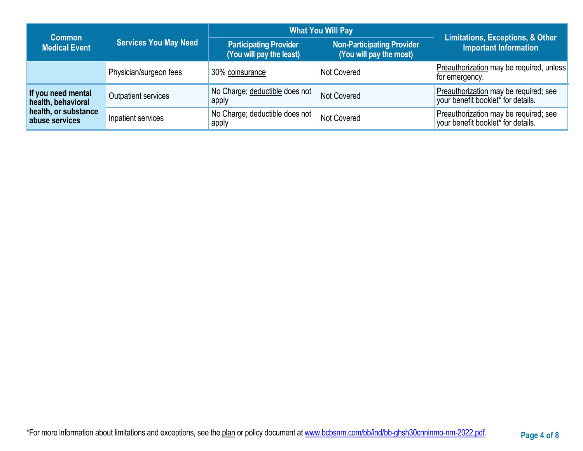| <b>Common</b>                            |                              | <b>What You Will Pay</b>                                  |                                                              | <b>Limitations, Exceptions, &amp; Other</b>                                 |  |
|------------------------------------------|------------------------------|-----------------------------------------------------------|--------------------------------------------------------------|-----------------------------------------------------------------------------|--|
| <b>Medical Event</b>                     | <b>Services You May Need</b> | <b>Participating Provider</b><br>(You will pay the least) | <b>Non-Participating Provider</b><br>(You will pay the most) | <b>Important Information</b>                                                |  |
|                                          | Physician/surgeon fees       | 30% coinsurance                                           | Not Covered                                                  | Preauthorization may be required, unless<br>for emergency.                  |  |
| If you need mental<br>health, behavioral | <b>Outpatient services</b>   | No Charge; deductible does not<br>apply                   | Not Covered                                                  | Preauthorization may be required; see<br>your benefit booklet* for details. |  |
| health, or substance<br>abuse services   | Inpatient services           | No Charge; deductible does not<br>apply                   | Not Covered                                                  | Preauthorization may be required; see<br>your benefit booklet* for details. |  |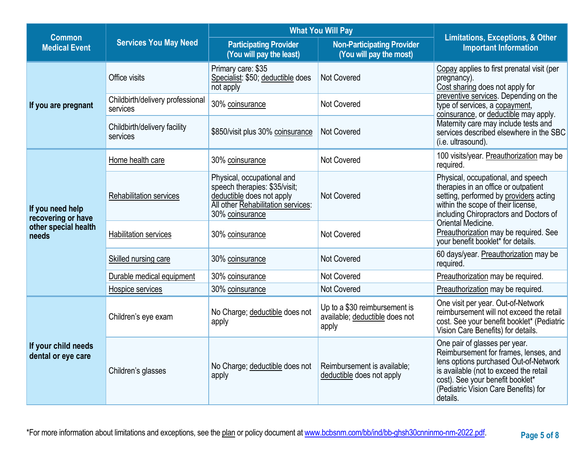| <b>Common</b>                                                           |                                                    | <b>What You Will Pay</b>                                                                                                                          |                                                                          | <b>Limitations, Exceptions, &amp; Other</b>                                                                                                                                                                                                                                                               |  |
|-------------------------------------------------------------------------|----------------------------------------------------|---------------------------------------------------------------------------------------------------------------------------------------------------|--------------------------------------------------------------------------|-----------------------------------------------------------------------------------------------------------------------------------------------------------------------------------------------------------------------------------------------------------------------------------------------------------|--|
| <b>Services You May Need</b><br><b>Medical Event</b>                    |                                                    | <b>Participating Provider</b><br>(You will pay the least)                                                                                         | <b>Non-Participating Provider</b><br>(You will pay the most)             | <b>Important Information</b>                                                                                                                                                                                                                                                                              |  |
|                                                                         | Office visits                                      | Primary care: \$35<br>Specialist: \$50; deductible does<br>not apply                                                                              | Not Covered                                                              | Copay applies to first prenatal visit (per<br>pregnancy).<br>Cost sharing does not apply for                                                                                                                                                                                                              |  |
| If you are pregnant                                                     | Childbirth/delivery professional<br>services       | 30% coinsurance                                                                                                                                   | Not Covered                                                              | preventive services. Depending on the<br>type of services, a copayment,<br>coinsurance, or deductible may apply.                                                                                                                                                                                          |  |
|                                                                         | Childbirth/delivery facility<br>services           | \$850/visit plus 30% coinsurance                                                                                                                  | <b>Not Covered</b>                                                       | Maternity care may include tests and<br>services described elsewhere in the SBC<br>(i.e. ultrasound).                                                                                                                                                                                                     |  |
|                                                                         | Not Covered<br>Home health care<br>30% coinsurance |                                                                                                                                                   |                                                                          | 100 visits/year. Preauthorization may be<br>required.                                                                                                                                                                                                                                                     |  |
| If you need help<br>recovering or have<br>other special health<br>needs | <b>Rehabilitation services</b>                     | Physical, occupational and<br>speech therapies: \$35/visit;<br>deductible does not apply<br>All other Rehabilitation services:<br>30% coinsurance | Not Covered                                                              | Physical, occupational, and speech<br>therapies in an office or outpatient<br>setting, performed by providers acting<br>within the scope of their license,<br>including Chiropractors and Doctors of<br>Oriental Medicine.<br>Preauthorization may be required. See<br>your benefit booklet* for details. |  |
|                                                                         | <b>Habilitation services</b>                       | 30% coinsurance                                                                                                                                   | Not Covered                                                              |                                                                                                                                                                                                                                                                                                           |  |
|                                                                         | Skilled nursing care                               | 30% coinsurance                                                                                                                                   | Not Covered                                                              | 60 days/year. Preauthorization may be<br>required.                                                                                                                                                                                                                                                        |  |
|                                                                         | Durable medical equipment                          | 30% coinsurance                                                                                                                                   | Not Covered                                                              | Preauthorization may be required.                                                                                                                                                                                                                                                                         |  |
|                                                                         | Hospice services                                   | 30% coinsurance                                                                                                                                   | Not Covered                                                              | Preauthorization may be required.                                                                                                                                                                                                                                                                         |  |
| If your child needs<br>dental or eye care                               | Children's eye exam                                | No Charge; deductible does not<br>apply                                                                                                           | Up to a \$30 reimbursement is<br>available; deductible does not<br>apply | One visit per year. Out-of-Network<br>reimbursement will not exceed the retail<br>cost. See your benefit booklet* (Pediatric<br>Vision Care Benefits) for details.                                                                                                                                        |  |
|                                                                         | Children's glasses                                 | No Charge; deductible does not<br>apply                                                                                                           | Reimbursement is available;<br>deductible does not apply                 | One pair of glasses per year.<br>Reimbursement for frames, lenses, and<br>lens options purchased Out-of-Network<br>is available (not to exceed the retail<br>cost). See your benefit booklet*<br>(Pediatric Vision Care Benefits) for<br>details.                                                         |  |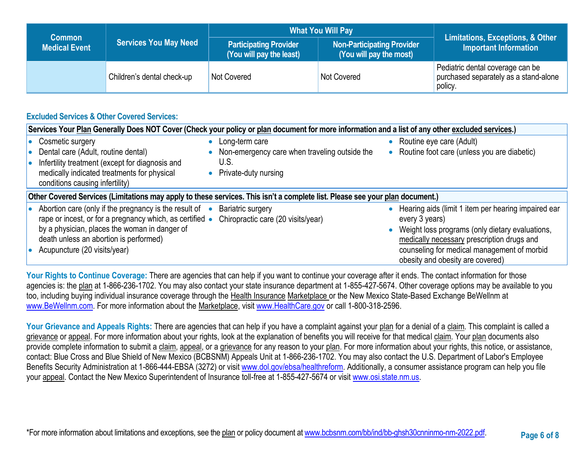|                                       |                                         | <b>What You Will Pay</b>                                  |                                                              | Limitations, Exceptions, & Other                                                     |  |
|---------------------------------------|-----------------------------------------|-----------------------------------------------------------|--------------------------------------------------------------|--------------------------------------------------------------------------------------|--|
| <b>Common</b><br><b>Medical Event</b> | <b>Services You May Need</b>            | <b>Participating Provider</b><br>(You will pay the least) | <b>Non-Participating Provider</b><br>(You will pay the most) | <b>Important Information</b>                                                         |  |
|                                       | <sup>1</sup> Children's dental check-up | Not Covered                                               | Not Covered                                                  | Pediatric dental coverage can be<br>purchased separately as a stand-alone<br>policy. |  |

## **Excluded Services & Other Covered Services:**

| Services Your Plan Generally Does NOT Cover (Check your policy or plan document for more information and a list of any other excluded services.)                                                                                               |                                                                                                                              |                                                                                                                                                                                                                                                           |  |  |
|------------------------------------------------------------------------------------------------------------------------------------------------------------------------------------------------------------------------------------------------|------------------------------------------------------------------------------------------------------------------------------|-----------------------------------------------------------------------------------------------------------------------------------------------------------------------------------------------------------------------------------------------------------|--|--|
| Cosmetic surgery<br>Dental care (Adult, routine dental)<br>Infertility treatment (except for diagnosis and<br>medically indicated treatments for physical<br>conditions causing infertility)                                                   | Long-term care<br>Non-emergency care when traveling outside the<br>$\bullet$<br>U.S.<br>Private-duty nursing<br>$\bullet$    | Routine eye care (Adult)<br>• Routine foot care (unless you are diabetic)                                                                                                                                                                                 |  |  |
|                                                                                                                                                                                                                                                | Other Covered Services (Limitations may apply to these services. This isn't a complete list. Please see your plan document.) |                                                                                                                                                                                                                                                           |  |  |
| Abortion care (only if the pregnancy is the result of •<br>rape or incest, or for a pregnancy which, as certified .<br>by a physician, places the woman in danger of<br>death unless an abortion is performed)<br>Acupuncture (20 visits/year) | Bariatric surgery<br>Chiropractic care (20 visits/year)                                                                      | Hearing aids (limit 1 item per hearing impaired ear<br>every 3 years)<br>Weight loss programs (only dietary evaluations,<br>medically necessary prescription drugs and<br>counseling for medical management of morbid<br>obesity and obesity are covered) |  |  |

Your Rights to Continue Coverage: There are agencies that can help if you want to continue your coverage after it ends. The contact information for those agencies is: the plan at 1-866-236-1702. You may also contact your state insurance department at 1-855-427-5674. Other coverage options may be available to you too, including buying individual insurance coverage through the Health Insurance Marketplace or the New Mexico State-Based Exchange BeWellnm at [www.BeWellnm.com.](http://www.bewellnm.com/) For more information about the Marketplace, visit [www.HealthCare.gov](http://www.healthcare.gov/) or call 1-800-318-2596.

Your Grievance and Appeals Rights: There are agencies that can help if you have a complaint against your plan for a denial of a claim. This complaint is called a grievance or appeal. For more information about your rights, look at the explanation of benefits you will receive for that medical claim. Your plan documents also provide complete information to submit a claim, appeal, or a grievance for any reason to your plan. For more information about your rights, this notice, or assistance, contact: Blue Cross and Blue Shield of New Mexico (BCBSNM) Appeals Unit at 1-866-236-1702. You may also contact the U.S. Department of Labor's Employee Benefits Security Administration at 1-866-444-EBSA (3272) or visit [www.dol.gov/ebsa/healthreform.](http://www.dol.gov/ebsa/healthreform) Additionally, a consumer assistance program can help you file your appeal. Contact the New Mexico Superintendent of Insurance toll-free at 1-855-427-5674 or visit [www.osi.state.nm.us.](http://www.osi.state.nm.us/)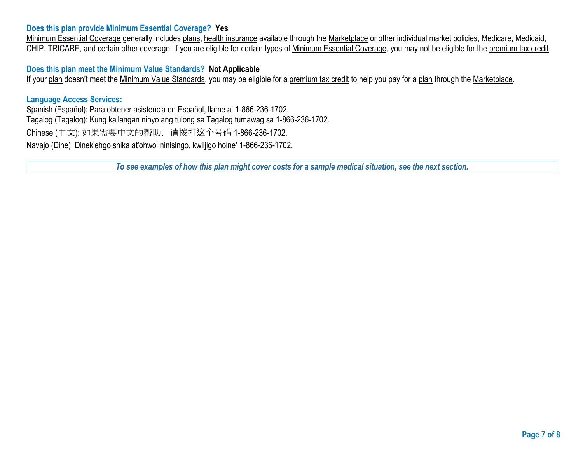## **Does this plan provide Minimum Essential Coverage? Yes**

Minimum Essential Coverage generally includes plans, health insurance available through the Marketplace or other individual market policies, Medicare, Medicaid, CHIP, TRICARE, and certain other coverage. If you are eligible for certain types of Minimum Essential Coverage, you may not be eligible for the premium tax credit.

### **Does this plan meet the Minimum Value Standards? Not Applicable**

If your plan doesn't meet the Minimum Value Standards, you may be eligible for a premium tax credit to help you pay for a plan through the Marketplace.

### **Language Access Services:**

Spanish (Español): Para obtener asistencia en Español, llame al 1-866-236-1702. Tagalog (Tagalog): Kung kailangan ninyo ang tulong sa Tagalog tumawag sa 1-866-236-1702. Chinese (中文): 如果需要中文的帮助,请拨打这个号码 1-866-236-1702. Navajo (Dine): Dinek'ehgo shika at'ohwol ninisingo, kwiijigo holne' 1-866-236-1702.

*To see examples of how this plan might cover costs for a sample medical situation, see the next section.*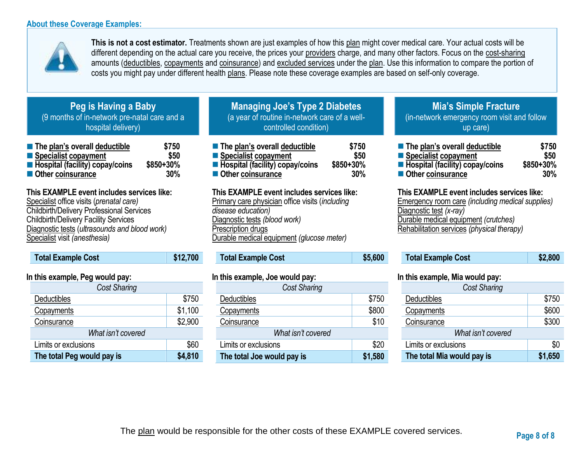

**This is not a cost estimator.** Treatments shown are just examples of how this plan might cover medical care. Your actual costs will be different depending on the actual care you receive, the prices your providers charge, and many other factors. Focus on the cost-sharing amounts (deductibles, copayments and coinsurance) and excluded services under the plan. Use this information to compare the portion of costs you might pay under different health plans. Please note these coverage examples are based on self-only coverage.

| Peg is Having a Baby                         |
|----------------------------------------------|
| (9 months of in-network pre-natal care and a |
| hospital delivery)                           |

| The plan's overall deductible     | \$750     |
|-----------------------------------|-----------|
| ■ Specialist copayment            | \$50      |
| ■ Hospital (facility) copay/coins | \$850+30% |
| Other coinsurance                 | 30%       |

**This EXAMPLE event includes services like:**  Specialist office visits (*prenatal care)* Childbirth/Delivery Professional Services Childbirth/Delivery Facility Services Diagnostic tests (*ultrasounds and blood work)* Specialist visit *(anesthesia)* 

| <b>Total Example Cost</b> | \$12,700 |
|---------------------------|----------|
|                           |          |

## **In this example, Peg would pay:**

| <b>Cost Sharing</b>        |         |  |  |
|----------------------------|---------|--|--|
| Deductibles                | \$750   |  |  |
| Copayments                 | \$1,100 |  |  |
| Coinsurance                | \$2,900 |  |  |
| What isn't covered         |         |  |  |
| Limits or exclusions       |         |  |  |
| The total Peg would pay is | \$4,810 |  |  |

# **Managing Joe's Type 2 Diabetes** (a year of routine in-network care of a wellcontrolled condition)

| The plan's overall deductible     | \$750     |
|-----------------------------------|-----------|
| ■ Specialist copayment            | \$50      |
| ■ Hospital (facility) copay/coins | \$850+30% |
| Other coinsurance                 | 30%       |

#### **This EXAMPLE event includes services like:**  Primary care physician office visits (*including disease education)* Diagnostic tests *(blood work)* Prescription drugs

Durable medical equipment *(glucose meter)* 

**Total Example Cost \$5,600** 

## **In this example, Joe would pay:**

| Cost Sharing               |         |  |
|----------------------------|---------|--|
| Deductibles                | \$750   |  |
| Copayments                 | \$800   |  |
| Coinsurance                | \$10    |  |
| What isn't covered         |         |  |
| Limits or exclusions       | \$20    |  |
| The total Joe would pay is | \$1,580 |  |

## **Mia's Simple Fracture** (in-network emergency room visit and follow up care)

| ■ The plan's overall deductible   | \$750     |
|-----------------------------------|-----------|
| ■ Specialist copayment            | \$50      |
| ■ Hospital (facility) copay/coins | \$850+30% |
| Other coinsurance                 | 30%       |

### **This EXAMPLE event includes services like:**

Emergency room care *(including medical supplies)* Diagnostic test *(x-ray)* Durable medical equipment *(crutches)* Rehabilitation services *(physical therapy)*

| <b>Total Example Cost</b> | \$2,800 |
|---------------------------|---------|
|                           |         |

### **In this example, Mia would pay:**

| Cost Sharing               |         |  |
|----------------------------|---------|--|
| Deductibles                | \$750   |  |
| Copayments                 | \$600   |  |
| Coinsurance                | \$300   |  |
| What isn't covered         |         |  |
| Limits or exclusions       | \$0     |  |
| The total Mia would pay is | \$1,650 |  |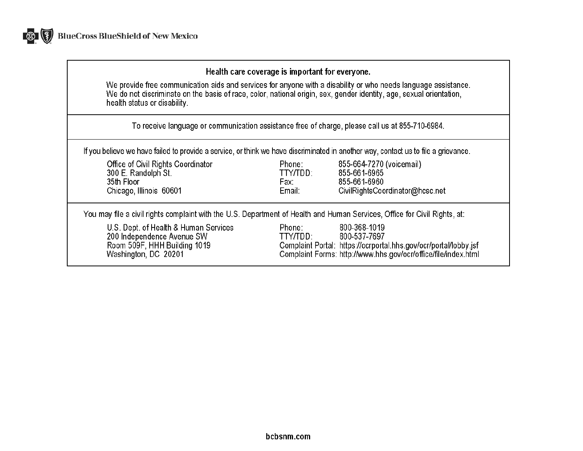| Health care coverage is important for everyone.<br>We provide free communication aids and services for anyone with a disability or who needs language assistance.<br>We do not discriminate on the basis of race, color, national origin, sex, gender identity, age, sexual orientation,<br>health status or disability.                                                                                                                                       |                                                                                                                                     |                                                                                             |  |
|----------------------------------------------------------------------------------------------------------------------------------------------------------------------------------------------------------------------------------------------------------------------------------------------------------------------------------------------------------------------------------------------------------------------------------------------------------------|-------------------------------------------------------------------------------------------------------------------------------------|---------------------------------------------------------------------------------------------|--|
| To receive language or communication assistance free of charge, please call us at 855-710-6984.                                                                                                                                                                                                                                                                                                                                                                |                                                                                                                                     |                                                                                             |  |
| If you believe we have failed to provide a service, or think we have discriminated in another way, contact us to file a grievance.<br>Office of Civil Rights Coordinator<br>300 E. Randolph St.<br>35th Floor<br>Chicago, Illinois 60601                                                                                                                                                                                                                       | Phone:<br>TTY/TDD:<br>Fax: The Contract of the Contract of the Contract of the Contract of the Contract of the Contract o<br>Email: | 855-664-7270 (voicemail)<br>855-661-6965<br>855-661-6960<br>CivilRightsCoordinator@hcsc.net |  |
| You may file a civil rights complaint with the U.S. Department of Health and Human Services, Office for Civil Rights, at:<br>U.S. Dept. of Health & Human Services<br>800-368-1019<br>Phone: The Phone<br>200 Independence Avenue SW<br>TTY/TDD:<br>800-537-7697<br>Room 509F, HHH Building 1019<br>Complaint Portal: https://ocrportal.hhs.gov/ocr/portal/lobby.jsf<br>Washington, DC 20201<br>Complaint Forms: http://www.hhs.gov/ocr/office/file/index.html |                                                                                                                                     |                                                                                             |  |